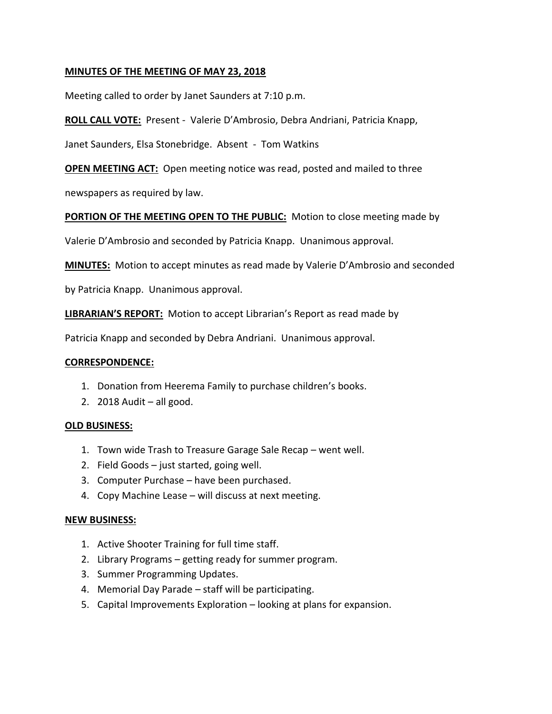## **MINUTES OF THE MEETING OF MAY 23, 2018**

Meeting called to order by Janet Saunders at 7:10 p.m.

**ROLL CALL VOTE:** Present - Valerie D'Ambrosio, Debra Andriani, Patricia Knapp,

Janet Saunders, Elsa Stonebridge. Absent - Tom Watkins

**OPEN MEETING ACT:** Open meeting notice was read, posted and mailed to three

newspapers as required by law.

# **PORTION OF THE MEETING OPEN TO THE PUBLIC:** Motion to close meeting made by

Valerie D'Ambrosio and seconded by Patricia Knapp. Unanimous approval.

**MINUTES:** Motion to accept minutes as read made by Valerie D'Ambrosio and seconded

by Patricia Knapp. Unanimous approval.

**LIBRARIAN'S REPORT:** Motion to accept Librarian's Report as read made by

Patricia Knapp and seconded by Debra Andriani. Unanimous approval.

## **CORRESPONDENCE:**

- 1. Donation from Heerema Family to purchase children's books.
- 2.  $2018$  Audit all good.

## **OLD BUSINESS:**

- 1. Town wide Trash to Treasure Garage Sale Recap went well.
- 2. Field Goods just started, going well.
- 3. Computer Purchase have been purchased.
- 4. Copy Machine Lease will discuss at next meeting.

## **NEW BUSINESS:**

- 1. Active Shooter Training for full time staff.
- 2. Library Programs getting ready for summer program.
- 3. Summer Programming Updates.
- 4. Memorial Day Parade staff will be participating.
- 5. Capital Improvements Exploration looking at plans for expansion.